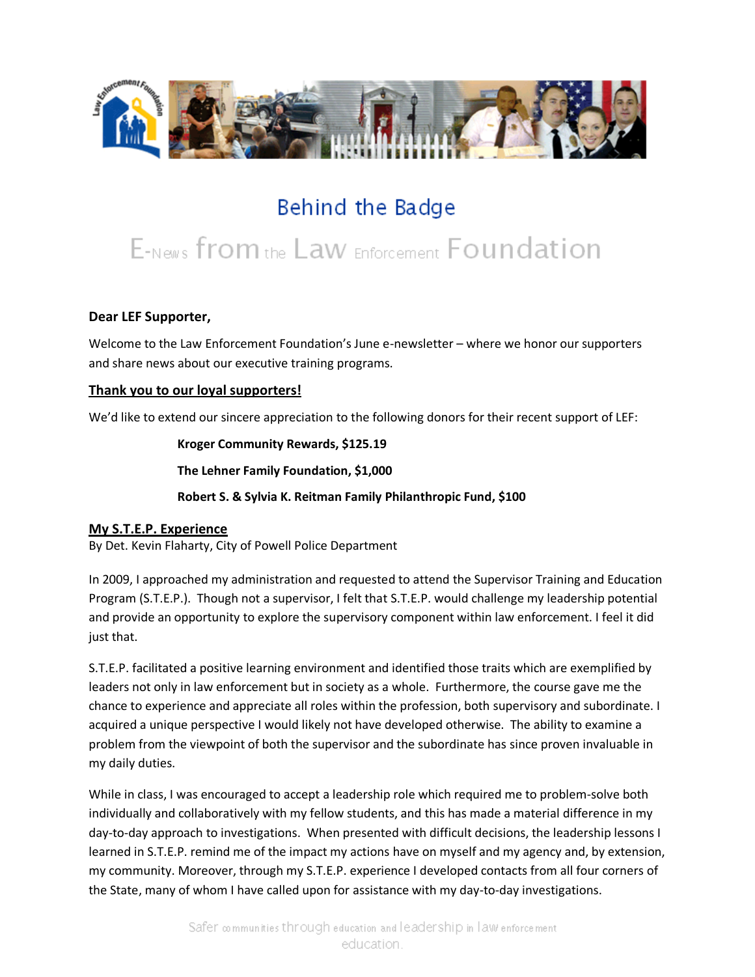

# Behind the Badge

# E-News from the Law Enforcement Foundation

## **Dear LEF Supporter,**

Welcome to the Law Enforcement Foundation's June e-newsletter – where we honor our supporters and share news about our executive training programs.

## **Thank you to our loyal supporters!**

We'd like to extend our sincere appreciation to the following donors for their recent support of LEF:

**Kroger Community Rewards, \$125.19**

**The Lehner Family Foundation, \$1,000**

**Robert S. & Sylvia K. Reitman Family Philanthropic Fund, \$100**

#### **My S.T.E.P. Experience**

By Det. Kevin Flaharty, City of Powell Police Department

In 2009, I approached my administration and requested to attend the Supervisor Training and Education Program (S.T.E.P.). Though not a supervisor, I felt that S.T.E.P. would challenge my leadership potential and provide an opportunity to explore the supervisory component within law enforcement. I feel it did just that.

S.T.E.P. facilitated a positive learning environment and identified those traits which are exemplified by leaders not only in law enforcement but in society as a whole. Furthermore, the course gave me the chance to experience and appreciate all roles within the profession, both supervisory and subordinate. I acquired a unique perspective I would likely not have developed otherwise. The ability to examine a problem from the viewpoint of both the supervisor and the subordinate has since proven invaluable in my daily duties.

While in class, I was encouraged to accept a leadership role which required me to problem-solve both individually and collaboratively with my fellow students, and this has made a material difference in my day-to-day approach to investigations. When presented with difficult decisions, the leadership lessons I learned in S.T.E.P. remind me of the impact my actions have on myself and my agency and, by extension, my community. Moreover, through my S.T.E.P. experience I developed contacts from all four corners of the State, many of whom I have called upon for assistance with my day-to-day investigations.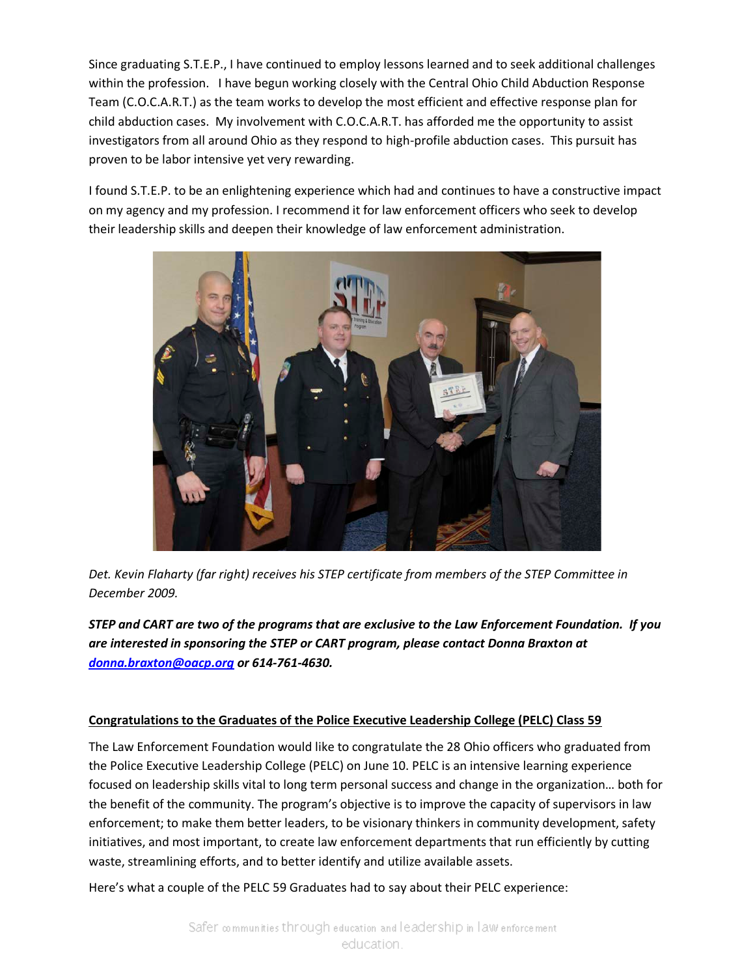Since graduating S.T.E.P., I have continued to employ lessons learned and to seek additional challenges within the profession. I have begun working closely with the Central Ohio Child Abduction Response Team (C.O.C.A.R.T.) as the team works to develop the most efficient and effective response plan for child abduction cases. My involvement with C.O.C.A.R.T. has afforded me the opportunity to assist investigators from all around Ohio as they respond to high-profile abduction cases. This pursuit has proven to be labor intensive yet very rewarding.

I found S.T.E.P. to be an enlightening experience which had and continues to have a constructive impact on my agency and my profession. I recommend it for law enforcement officers who seek to develop their leadership skills and deepen their knowledge of law enforcement administration.



*Det. Kevin Flaharty (far right) receives his STEP certificate from members of the STEP Committee in December 2009.*

*STEP and CART are two of the programs that are exclusive to the Law Enforcement Foundation. If you are interested in sponsoring the STEP or CART program, please contact Donna Braxton at [donna.braxton@oacp.org](mailto:donna.braxton@oacp.org) or 614-761-4630.*

#### **Congratulations to the Graduates of the Police Executive Leadership College (PELC) Class 59**

The Law Enforcement Foundation would like to congratulate the 28 Ohio officers who graduated from the Police Executive Leadership College (PELC) on June 10. PELC is an intensive learning experience focused on leadership skills vital to long term personal success and change in the organization… both for the benefit of the community. The program's objective is to improve the capacity of supervisors in law enforcement; to make them better leaders, to be visionary thinkers in community development, safety initiatives, and most important, to create law enforcement departments that run efficiently by cutting waste, streamlining efforts, and to better identify and utilize available assets.

Here's what a couple of the PELC 59 Graduates had to say about their PELC experience: